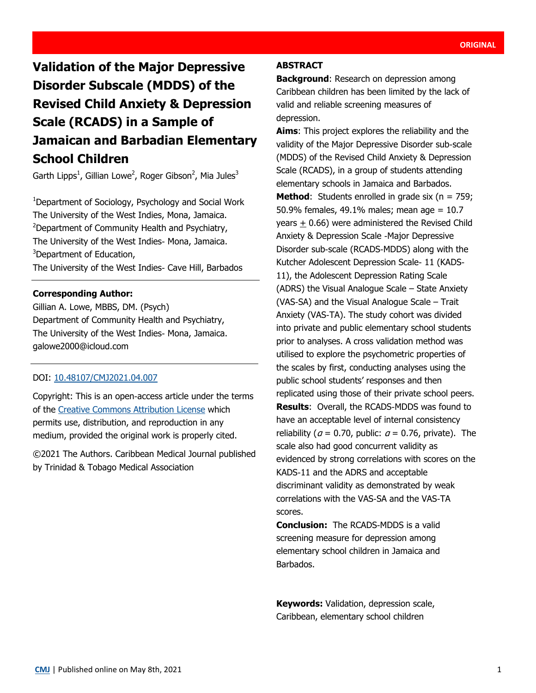# **Validation of the Major Depressive Disorder Subscale (MDDS) of the Revised Child Anxiety & Depression Scale (RCADS) in a Sample of Jamaican and Barbadian Elementary School Children**

Garth Lipps<sup>1</sup>, Gillian Lowe<sup>2</sup>, Roger Gibson<sup>2</sup>, Mia Jules<sup>3</sup>

<sup>1</sup>Department of Sociology, Psychology and Social Work The University of the West Indies, Mona, Jamaica. <sup>2</sup>Department of Community Health and Psychiatry, The University of the West Indies- Mona, Jamaica. <sup>3</sup>Department of Education, The University of the West Indies- Cave Hill, Barbados

## **Corresponding Author:**

Gillian A. Lowe, MBBS, DM. (Psych) Department of Community Health and Psychiatry, The University of the West Indies- Mona, Jamaica. galowe2000@icloud.com

## DOI: [10.48107/CMJ2021.04.007](https://doi.org/10.48107/CMJ2021.04.007)

Copyright: This is an open-access article under the terms of the [Creative Commons Attribution License](http://creativecommons.org/licenses/by/4.0/) which permits use, distribution, and reproduction in any medium, provided the original work is properly cited.

©2021 The Authors. Caribbean Medical Journal published by Trinidad & Tobago Medical Association

#### **ABSTRACT**

**Background**: Research on depression among Caribbean children has been limited by the lack of valid and reliable screening measures of depression.

**Aims**: This project explores the reliability and the validity of the Major Depressive Disorder sub-scale (MDDS) of the Revised Child Anxiety & Depression Scale (RCADS), in a group of students attending elementary schools in Jamaica and Barbados. **Method:** Students enrolled in grade six ( $n = 759$ ; 50.9% females, 49.1% males; mean age = 10.7 years  $\pm$  0.66) were administered the Revised Child Anxiety & Depression Scale -Major Depressive Disorder sub-scale (RCADS-MDDS) along with the Kutcher Adolescent Depression Scale- 11 (KADS-11), the Adolescent Depression Rating Scale (ADRS) the Visual Analogue Scale – State Anxiety (VAS-SA) and the Visual Analogue Scale – Trait Anxiety (VAS-TA). The study cohort was divided into private and public elementary school students prior to analyses. A cross validation method was utilised to explore the psychometric properties of the scales by first, conducting analyses using the public school students' responses and then replicated using those of their private school peers. **Results**: Overall, the RCADS-MDDS was found to have an acceptable level of internal consistency reliability ( $a = 0.70$ , public:  $a = 0.76$ , private). The scale also had good concurrent validity as evidenced by strong correlations with scores on the KADS-11 and the ADRS and acceptable discriminant validity as demonstrated by weak correlations with the VAS-SA and the VAS-TA scores.

**Conclusion:** The RCADS-MDDS is a valid screening measure for depression among elementary school children in Jamaica and Barbados.

**Keywords:** Validation, depression scale, Caribbean, elementary school children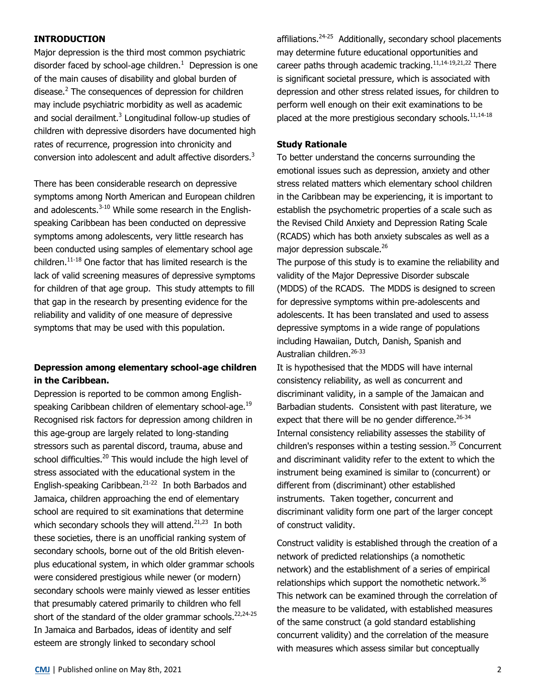## **INTRODUCTION**

Major depression is the third most common psychiatric disorder faced by school-age children. $1$  Depression is one of the main causes of disability and global burden of disease.<sup>2</sup> The consequences of depression for children may include psychiatric morbidity as well as academic and social derailment. $3$  Longitudinal follow-up studies of children with depressive disorders have documented high rates of recurrence, progression into chronicity and conversion into adolescent and adult affective disorders.<sup>3</sup>

There has been considerable research on depressive symptoms among North American and European children and adolescents. $3-10$  While some research in the Englishspeaking Caribbean has been conducted on depressive symptoms among adolescents, very little research has been conducted using samples of elementary school age children. $11-18$  One factor that has limited research is the lack of valid screening measures of depressive symptoms for children of that age group. This study attempts to fill that gap in the research by presenting evidence for the reliability and validity of one measure of depressive symptoms that may be used with this population.

## **Depression among elementary school-age children in the Caribbean.**

Depression is reported to be common among Englishspeaking Caribbean children of elementary school-age.<sup>19</sup> Recognised risk factors for depression among children in this age-group are largely related to long-standing stressors such as parental discord, trauma, abuse and school difficulties.<sup>20</sup> This would include the high level of stress associated with the educational system in the English-speaking Caribbean.<sup>21-22</sup> In both Barbados and Jamaica, children approaching the end of elementary school are required to sit examinations that determine which secondary schools they will attend. $2^{1,23}$  In both these societies, there is an unofficial ranking system of secondary schools, borne out of the old British elevenplus educational system, in which older grammar schools were considered prestigious while newer (or modern) secondary schools were mainly viewed as lesser entities that presumably catered primarily to children who fell short of the standard of the older grammar schools. $^{22,24-25}$ In Jamaica and Barbados, ideas of identity and self esteem are strongly linked to secondary school

affiliations.<sup>24-25</sup> Additionally, secondary school placements may determine future educational opportunities and career paths through academic tracking.<sup>11,14-19,21,22</sup> There is significant societal pressure, which is associated with depression and other stress related issues, for children to perform well enough on their exit examinations to be placed at the more prestigious secondary schools. $^{11,14\cdot18}$ 

#### **Study Rationale**

To better understand the concerns surrounding the emotional issues such as depression, anxiety and other stress related matters which elementary school children in the Caribbean may be experiencing, it is important to establish the psychometric properties of a scale such as the Revised Child Anxiety and Depression Rating Scale (RCADS) which has both anxiety subscales as well as a major depression subscale.<sup>26</sup>

The purpose of this study is to examine the reliability and validity of the Major Depressive Disorder subscale (MDDS) of the RCADS. The MDDS is designed to screen for depressive symptoms within pre-adolescents and adolescents. It has been translated and used to assess depressive symptoms in a wide range of populations including Hawaiian, Dutch, Danish, Spanish and Australian children.<sup>26-33</sup>

It is hypothesised that the MDDS will have internal consistency reliability, as well as concurrent and discriminant validity, in a sample of the Jamaican and Barbadian students. Consistent with past literature, we expect that there will be no gender difference.  $26-34$ Internal consistency reliability assesses the stability of children's responses within a testing session. $35$  Concurrent and discriminant validity refer to the extent to which the instrument being examined is similar to (concurrent) or different from (discriminant) other established instruments. Taken together, concurrent and discriminant validity form one part of the larger concept of construct validity.

Construct validity is established through the creation of a network of predicted relationships (a nomothetic network) and the establishment of a series of empirical relationships which support the nomothetic network.<sup>36</sup> This network can be examined through the correlation of the measure to be validated, with established measures of the same construct (a gold standard establishing concurrent validity) and the correlation of the measure with measures which assess similar but conceptually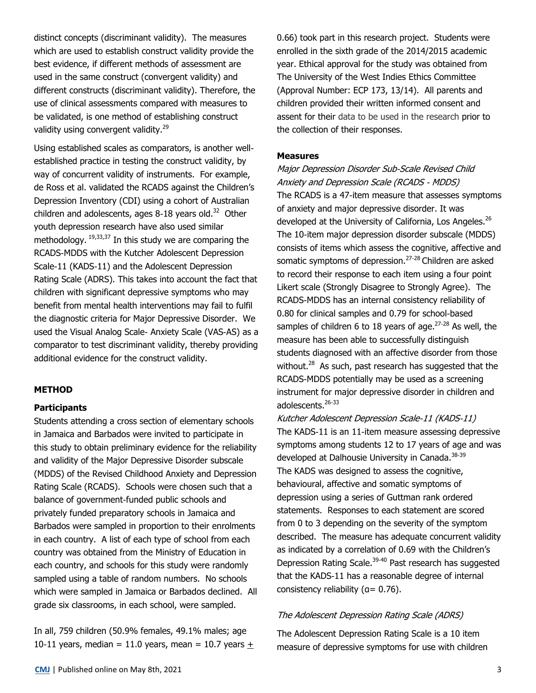distinct concepts (discriminant validity). The measures which are used to establish construct validity provide the best evidence, if different methods of assessment are used in the same construct (convergent validity) and different constructs (discriminant validity). Therefore, the use of clinical assessments compared with measures to be validated, is one method of establishing construct validity using convergent validity.<sup>29</sup>

Using established scales as comparators, is another wellestablished practice in testing the construct validity, by way of concurrent validity of instruments. For example, de Ross et al. validated the RCADS against the Children's Depression Inventory (CDI) using a cohort of Australian children and adolescents, ages 8-18 years old. $32$  Other youth depression research have also used similar methodology.  $19,33,37$  In this study we are comparing the RCADS-MDDS with the Kutcher Adolescent Depression Scale-11 (KADS-11) and the Adolescent Depression Rating Scale (ADRS). This takes into account the fact that children with significant depressive symptoms who may benefit from mental health interventions may fail to fulfil the diagnostic criteria for Major Depressive Disorder. We used the Visual Analog Scale- Anxiety Scale (VAS-AS) as a comparator to test discriminant validity, thereby providing additional evidence for the construct validity.

#### **METHOD**

#### **Participants**

Students attending a cross section of elementary schools in Jamaica and Barbados were invited to participate in this study to obtain preliminary evidence for the reliability and validity of the Major Depressive Disorder subscale (MDDS) of the Revised Childhood Anxiety and Depression Rating Scale (RCADS). Schools were chosen such that a balance of government-funded public schools and privately funded preparatory schools in Jamaica and Barbados were sampled in proportion to their enrolments in each country. A list of each type of school from each country was obtained from the Ministry of Education in each country, and schools for this study were randomly sampled using a table of random numbers. No schools which were sampled in Jamaica or Barbados declined. All grade six classrooms, in each school, were sampled.

In all, 759 children (50.9% females, 49.1% males; age 10-11 years, median = 11.0 years, mean = 10.7 years  $+$  0.66) took part in this research project. Students were enrolled in the sixth grade of the 2014/2015 academic year. Ethical approval for the study was obtained from The University of the West Indies Ethics Committee (Approval Number: ECP 173, 13/14). All parents and children provided their written informed consent and assent for their data to be used in the research prior to the collection of their responses.

#### **Measures**

Major Depression Disorder Sub-Scale Revised Child Anxiety and Depression Scale (RCADS - MDDS) The RCADS is a 47-item measure that assesses symptoms of anxiety and major depressive disorder. It was developed at the University of California, Los Angeles.<sup>26</sup> The 10-item major depression disorder subscale (MDDS) consists of items which assess the cognitive, affective and somatic symptoms of depression.<sup>27-28</sup> Children are asked to record their response to each item using a four point Likert scale (Strongly Disagree to Strongly Agree). The RCADS-MDDS has an internal consistency reliability of 0.80 for clinical samples and 0.79 for school-based samples of children 6 to 18 years of age. $27-28$  As well, the measure has been able to successfully distinguish students diagnosed with an affective disorder from those without.<sup>28</sup> As such, past research has suggested that the RCADS-MDDS potentially may be used as a screening instrument for major depressive disorder in children and adolescents.<sup>26-33</sup>

Kutcher Adolescent Depression Scale-11 (KADS-11) The KADS-11 is an 11-item measure assessing depressive symptoms among students 12 to 17 years of age and was developed at Dalhousie University in Canada.<sup>38-39</sup> The KADS was designed to assess the cognitive, behavioural, affective and somatic symptoms of depression using a series of Guttman rank ordered statements. Responses to each statement are scored from 0 to 3 depending on the severity of the symptom described. The measure has adequate concurrent validity as indicated by a correlation of 0.69 with the Children's Depression Rating Scale.<sup>39-40</sup> Past research has suggested that the KADS-11 has a reasonable degree of internal consistency reliability ( $a= 0.76$ ).

#### The Adolescent Depression Rating Scale (ADRS)

The Adolescent Depression Rating Scale is a 10 item measure of depressive symptoms for use with children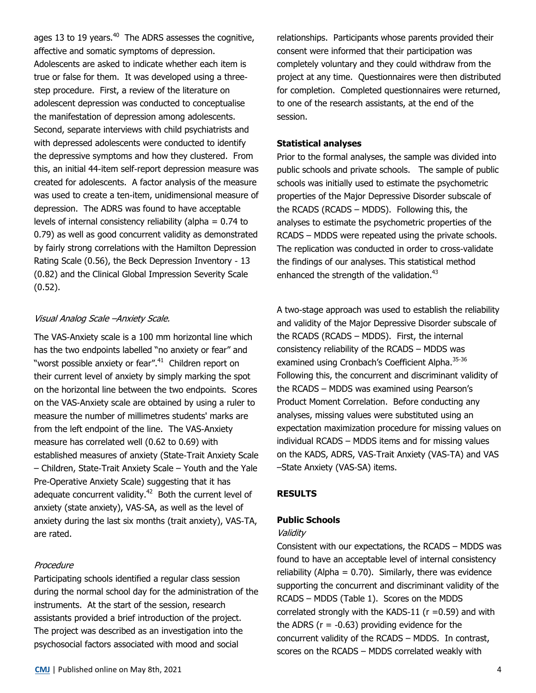ages 13 to 19 years.<sup>40</sup> The ADRS assesses the cognitive, affective and somatic symptoms of depression. Adolescents are asked to indicate whether each item is true or false for them. It was developed using a threestep procedure. First, a review of the literature on adolescent depression was conducted to conceptualise the manifestation of depression among adolescents. Second, separate interviews with child psychiatrists and with depressed adolescents were conducted to identify the depressive symptoms and how they clustered. From this, an initial 44-item self-report depression measure was created for adolescents. A factor analysis of the measure was used to create a ten-item, unidimensional measure of depression. The ADRS was found to have acceptable levels of internal consistency reliability (alpha = 0.74 to 0.79) as well as good concurrent validity as demonstrated by fairly strong correlations with the Hamilton Depression Rating Scale (0.56), the Beck Depression Inventory - 13 (0.82) and the Clinical Global Impression Severity Scale (0.52).

## Visual Analog Scale –Anxiety Scale.

The VAS-Anxiety scale is a 100 mm horizontal line which has the two endpoints labelled "no anxiety or fear" and "worst possible anxiety or fear".<sup>41</sup> Children report on their current level of anxiety by simply marking the spot on the horizontal line between the two endpoints. Scores on the VAS-Anxiety scale are obtained by using a ruler to measure the number of millimetres students' marks are from the left endpoint of the line. The VAS-Anxiety measure has correlated well (0.62 to 0.69) with established measures of anxiety (State-Trait Anxiety Scale – Children, State-Trait Anxiety Scale – Youth and the Yale Pre-Operative Anxiety Scale) suggesting that it has adequate concurrent validity.<sup>42</sup> Both the current level of anxiety (state anxiety), VAS-SA, as well as the level of anxiety during the last six months (trait anxiety), VAS-TA, are rated.

## Procedure

Participating schools identified a regular class session during the normal school day for the administration of the instruments. At the start of the session, research assistants provided a brief introduction of the project. The project was described as an investigation into the psychosocial factors associated with mood and social

relationships. Participants whose parents provided their consent were informed that their participation was completely voluntary and they could withdraw from the project at any time. Questionnaires were then distributed for completion. Completed questionnaires were returned, to one of the research assistants, at the end of the session.

## **Statistical analyses**

Prior to the formal analyses, the sample was divided into public schools and private schools. The sample of public schools was initially used to estimate the psychometric properties of the Major Depressive Disorder subscale of the RCADS (RCADS – MDDS). Following this, the analyses to estimate the psychometric properties of the RCADS – MDDS were repeated using the private schools. The replication was conducted in order to cross-validate the findings of our analyses. This statistical method enhanced the strength of the validation.<sup>43</sup>

A two-stage approach was used to establish the reliability and validity of the Major Depressive Disorder subscale of the RCADS (RCADS – MDDS). First, the internal consistency reliability of the RCADS – MDDS was examined using Cronbach's Coefficient Alpha.<sup>35-36</sup> Following this, the concurrent and discriminant validity of the RCADS – MDDS was examined using Pearson's Product Moment Correlation. Before conducting any analyses, missing values were substituted using an expectation maximization procedure for missing values on individual RCADS – MDDS items and for missing values on the KADS, ADRS, VAS-Trait Anxiety (VAS-TA) and VAS –State Anxiety (VAS-SA) items.

## **RESULTS**

## **Public Schools**

## Validity

Consistent with our expectations, the RCADS – MDDS was found to have an acceptable level of internal consistency reliability (Alpha =  $0.70$ ). Similarly, there was evidence supporting the concurrent and discriminant validity of the RCADS – MDDS (Table 1). Scores on the MDDS correlated strongly with the KADS-11 ( $r = 0.59$ ) and with the ADRS ( $r = -0.63$ ) providing evidence for the concurrent validity of the RCADS – MDDS. In contrast, scores on the RCADS – MDDS correlated weakly with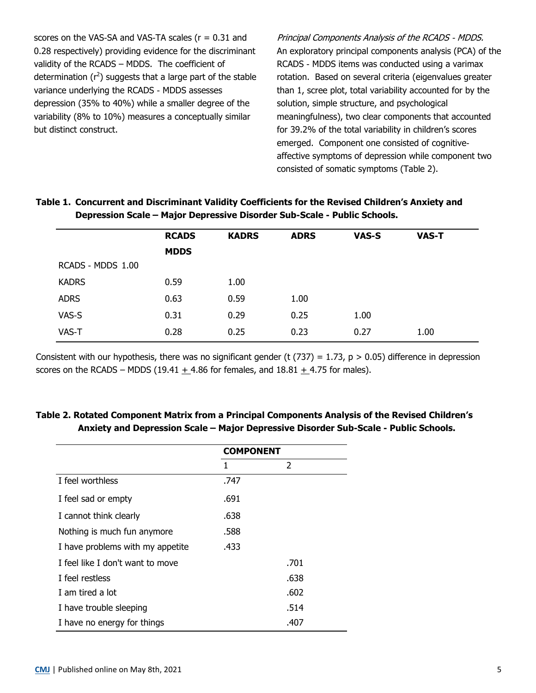scores on the VAS-SA and VAS-TA scales  $(r = 0.31$  and 0.28 respectively) providing evidence for the discriminant validity of the RCADS – MDDS. The coefficient of determination  $(r^2)$  suggests that a large part of the stable variance underlying the RCADS - MDDS assesses depression (35% to 40%) while a smaller degree of the variability (8% to 10%) measures a conceptually similar but distinct construct.

Principal Components Analysis of the RCADS - MDDS. An exploratory principal components analysis (PCA) of the RCADS - MDDS items was conducted using a varimax rotation. Based on several criteria (eigenvalues greater than 1, scree plot, total variability accounted for by the solution, simple structure, and psychological meaningfulness), two clear components that accounted for 39.2% of the total variability in children's scores emerged. Component one consisted of cognitiveaffective symptoms of depression while component two consisted of somatic symptoms (Table 2).

|                   | <b>RCADS</b> | <b>KADRS</b> | <b>ADRS</b> | VAS-S | <b>VAS-T</b> |  |
|-------------------|--------------|--------------|-------------|-------|--------------|--|
|                   | <b>MDDS</b>  |              |             |       |              |  |
| RCADS - MDDS 1.00 |              |              |             |       |              |  |
| <b>KADRS</b>      | 0.59         | 1.00         |             |       |              |  |
| <b>ADRS</b>       | 0.63         | 0.59         | 1.00        |       |              |  |
| VAS-S             | 0.31         | 0.29         | 0.25        | 1.00  |              |  |
| VAS-T             | 0.28         | 0.25         | 0.23        | 0.27  | 1.00         |  |

# **Table 1. Concurrent and Discriminant Validity Coefficients for the Revised Children's Anxiety and Depression Scale – Major Depressive Disorder Sub-Scale - Public Schools.**

Consistent with our hypothesis, there was no significant gender (t (737) = 1.73,  $p > 0.05$ ) difference in depression scores on the RCADS – MDDS (19.41  $\pm$  4.86 for females, and 18.81  $\pm$  4.75 for males).

## **Table 2. Rotated Component Matrix from a Principal Components Analysis of the Revised Children's Anxiety and Depression Scale – Major Depressive Disorder Sub-Scale - Public Schools.**

|                                  | <b>COMPONENT</b> |      |  |
|----------------------------------|------------------|------|--|
|                                  | 1                | 2    |  |
| I feel worthless                 | .747             |      |  |
| I feel sad or empty              | .691             |      |  |
| I cannot think clearly           | .638             |      |  |
| Nothing is much fun anymore      | .588             |      |  |
| I have problems with my appetite | .433             |      |  |
| I feel like I don't want to move |                  | .701 |  |
| I feel restless                  |                  | .638 |  |
| I am tired a lot                 |                  | .602 |  |
| I have trouble sleeping          |                  | .514 |  |
| I have no energy for things      |                  | .407 |  |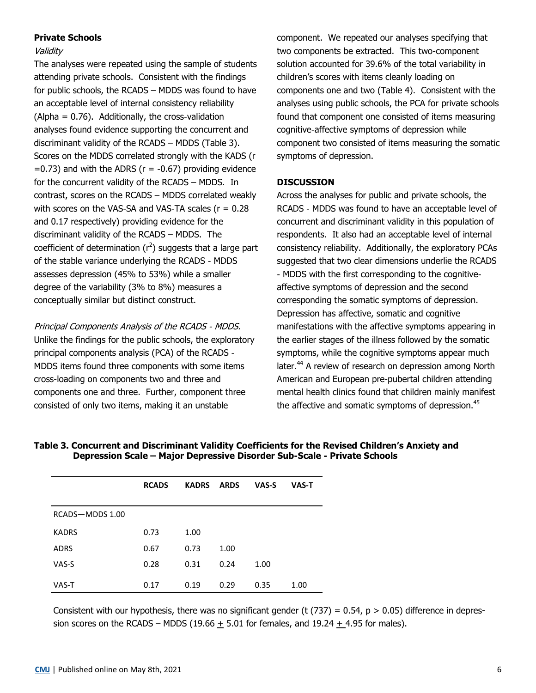## **Private Schools**

#### Validity

The analyses were repeated using the sample of students attending private schools. Consistent with the findings for public schools, the RCADS – MDDS was found to have an acceptable level of internal consistency reliability  $(A$ lpha = 0.76). Additionally, the cross-validation analyses found evidence supporting the concurrent and discriminant validity of the RCADS – MDDS (Table 3). Scores on the MDDS correlated strongly with the KADS (r  $=0.73$ ) and with the ADRS ( $r = -0.67$ ) providing evidence for the concurrent validity of the RCADS – MDDS. In contrast, scores on the RCADS – MDDS correlated weakly with scores on the VAS-SA and VAS-TA scales ( $r = 0.28$ ) and 0.17 respectively) providing evidence for the discriminant validity of the RCADS – MDDS. The coefficient of determination  $(r^2)$  suggests that a large part of the stable variance underlying the RCADS - MDDS assesses depression (45% to 53%) while a smaller degree of the variability (3% to 8%) measures a conceptually similar but distinct construct.

Principal Components Analysis of the RCADS - MDDS. Unlike the findings for the public schools, the exploratory principal components analysis (PCA) of the RCADS - MDDS items found three components with some items cross-loading on components two and three and components one and three. Further, component three consisted of only two items, making it an unstable

component. We repeated our analyses specifying that two components be extracted. This two-component solution accounted for 39.6% of the total variability in children's scores with items cleanly loading on components one and two (Table 4). Consistent with the analyses using public schools, the PCA for private schools found that component one consisted of items measuring cognitive-affective symptoms of depression while component two consisted of items measuring the somatic symptoms of depression.

## **DISCUSSION**

Across the analyses for public and private schools, the RCADS - MDDS was found to have an acceptable level of concurrent and discriminant validity in this population of respondents. It also had an acceptable level of internal consistency reliability. Additionally, the exploratory PCAs suggested that two clear dimensions underlie the RCADS - MDDS with the first corresponding to the cognitiveaffective symptoms of depression and the second corresponding the somatic symptoms of depression. Depression has affective, somatic and cognitive manifestations with the affective symptoms appearing in the earlier stages of the illness followed by the somatic symptoms, while the cognitive symptoms appear much later.<sup>44</sup> A review of research on depression among North American and European pre-pubertal children attending mental health clinics found that children mainly manifest the affective and somatic symptoms of depression.<sup>45</sup>

|                 | <b>RCADS</b> | <b>KADRS</b> | <b>ARDS</b> | VAS-S | <b>VAS-T</b> |
|-----------------|--------------|--------------|-------------|-------|--------------|
| RCADS-MDDS 1.00 |              |              |             |       |              |
| <b>KADRS</b>    | 0.73         | 1.00         |             |       |              |
| <b>ADRS</b>     | 0.67         | 0.73         | 1.00        |       |              |
| VAS-S           | 0.28         | 0.31         | 0.24        | 1.00  |              |
| VAS-T           | 0.17         | 0.19         | 0.29        | 0.35  | 1.00         |

**Table 3. Concurrent and Discriminant Validity Coefficients for the Revised Children's Anxiety and Depression Scale – Major Depressive Disorder Sub-Scale - Private Schools**

Consistent with our hypothesis, there was no significant gender (t  $(737) = 0.54$ , p > 0.05) difference in depression scores on the RCADS – MDDS  $(19.66 + 5.01)$  for females, and  $19.24 + 4.95$  for males).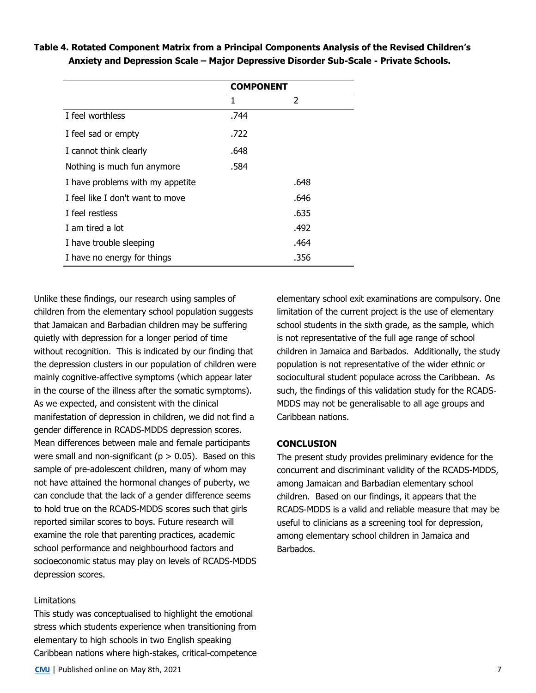|                                  | <b>COMPONENT</b> |               |  |
|----------------------------------|------------------|---------------|--|
|                                  | 1                | $\mathcal{P}$ |  |
| I feel worthless                 | .744             |               |  |
| I feel sad or empty              | .722             |               |  |
| I cannot think clearly           | .648             |               |  |
| Nothing is much fun anymore      | .584             |               |  |
| I have problems with my appetite |                  | .648          |  |
| I feel like I don't want to move |                  | .646          |  |
| I feel restless                  |                  | .635          |  |
| I am tired a lot                 |                  | .492          |  |
| I have trouble sleeping          |                  | .464          |  |
| I have no energy for things      |                  | .356          |  |

## **Table 4. Rotated Component Matrix from a Principal Components Analysis of the Revised Children's Anxiety and Depression Scale – Major Depressive Disorder Sub-Scale - Private Schools.**

Unlike these findings, our research using samples of children from the elementary school population suggests that Jamaican and Barbadian children may be suffering quietly with depression for a longer period of time without recognition. This is indicated by our finding that the depression clusters in our population of children were mainly cognitive-affective symptoms (which appear later in the course of the illness after the somatic symptoms). As we expected, and consistent with the clinical manifestation of depression in children, we did not find a gender difference in RCADS-MDDS depression scores. Mean differences between male and female participants were small and non-significant ( $p > 0.05$ ). Based on this sample of pre-adolescent children, many of whom may not have attained the hormonal changes of puberty, we can conclude that the lack of a gender difference seems to hold true on the RCADS-MDDS scores such that girls reported similar scores to boys. Future research will examine the role that parenting practices, academic school performance and neighbourhood factors and socioeconomic status may play on levels of RCADS-MDDS depression scores.

#### **Limitations**

This study was conceptualised to highlight the emotional stress which students experience when transitioning from elementary to high schools in two English speaking Caribbean nations where high-stakes, critical-competence elementary school exit examinations are compulsory. One limitation of the current project is the use of elementary school students in the sixth grade, as the sample, which is not representative of the full age range of school children in Jamaica and Barbados. Additionally, the study population is not representative of the wider ethnic or sociocultural student populace across the Caribbean. As such, the findings of this validation study for the RCADS-MDDS may not be generalisable to all age groups and Caribbean nations.

#### **CONCLUSION**

The present study provides preliminary evidence for the concurrent and discriminant validity of the RCADS-MDDS, among Jamaican and Barbadian elementary school children. Based on our findings, it appears that the RCADS-MDDS is a valid and reliable measure that may be useful to clinicians as a screening tool for depression, among elementary school children in Jamaica and Barbados.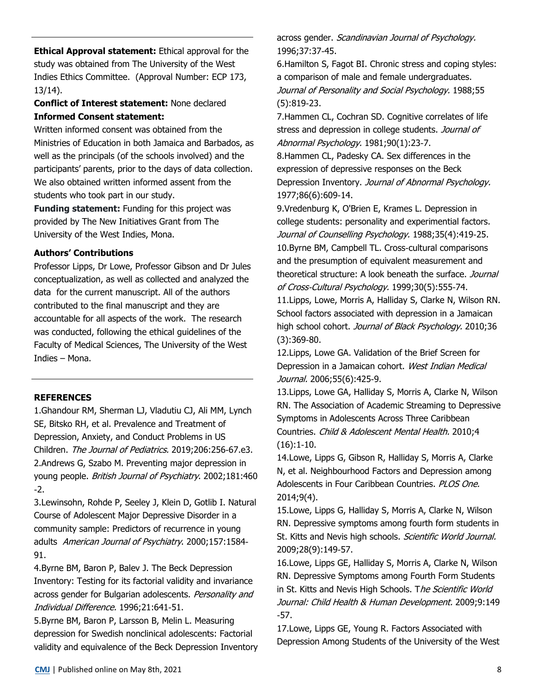**Ethical Approval statement:** Ethical approval for the study was obtained from The University of the West Indies Ethics Committee. (Approval Number: ECP 173, 13/14).

## **Conflict of Interest statement:** None declared **Informed Consent statement:**

Written informed consent was obtained from the Ministries of Education in both Jamaica and Barbados, as well as the principals (of the schools involved) and the participants' parents, prior to the days of data collection. We also obtained written informed assent from the students who took part in our study.

**Funding statement:** Funding for this project was provided by The New Initiatives Grant from The University of the West Indies, Mona.

## **Authors' Contributions**

Professor Lipps, Dr Lowe, Professor Gibson and Dr Jules conceptualization, as well as collected and analyzed the data for the current manuscript. All of the authors contributed to the final manuscript and they are accountable for all aspects of the work. The research was conducted, following the ethical guidelines of the Faculty of Medical Sciences, The University of the West Indies – Mona.

## **REFERENCES**

1.Ghandour RM, Sherman LJ, Vladutiu CJ, Ali MM, Lynch SE, Bitsko RH, et al. Prevalence and Treatment of Depression, Anxiety, and Conduct Problems in US Children. The Journal of Pediatrics. 2019;206:256-67.e3. 2.Andrews G, Szabo M. Preventing major depression in young people. British Journal of Psychiatry. 2002;181:460 -2.

3.Lewinsohn, Rohde P, Seeley J, Klein D, Gotlib I. Natural Course of Adolescent Major Depressive Disorder in a community sample: Predictors of recurrence in young adults American Journal of Psychiatry. 2000;157:1584-91.

4.Byrne BM, Baron P, Balev J. The Beck Depression Inventory: Testing for its factorial validity and invariance across gender for Bulgarian adolescents. Personality and Individual Difference. 1996;21:641-51.

5.Byrne BM, Baron P, Larsson B, Melin L. Measuring depression for Swedish nonclinical adolescents: Factorial validity and equivalence of the Beck Depression Inventory across gender. Scandinavian Journal of Psychology. 1996;37:37-45.

6.Hamilton S, Fagot BI. Chronic stress and coping styles: a comparison of male and female undergraduates. Journal of Personality and Social Psychology. 1988;55 (5):819-23.

7.Hammen CL, Cochran SD. Cognitive correlates of life stress and depression in college students. Journal of Abnormal Psychology. 1981;90(1):23-7.

8.Hammen CL, Padesky CA. Sex differences in the expression of depressive responses on the Beck Depression Inventory. Journal of Abnormal Psychology. 1977;86(6):609-14.

9.Vredenburg K, O'Brien E, Krames L. Depression in college students: personality and experimential factors. Journal of Counselling Psychology. 1988;35(4):419-25. 10.Byrne BM, Campbell TL. Cross-cultural comparisons and the presumption of equivalent measurement and theoretical structure: A look beneath the surface. Journal of Cross-Cultural Psychology. 1999;30(5):555-74. 11.Lipps, Lowe, Morris A, Halliday S, Clarke N, Wilson RN. School factors associated with depression in a Jamaican high school cohort. Journal of Black Psychology. 2010;36 (3):369-80.

12.Lipps, Lowe GA. Validation of the Brief Screen for Depression in a Jamaican cohort. West Indian Medical Journal. 2006;55(6):425-9.

13.Lipps, Lowe GA, Halliday S, Morris A, Clarke N, Wilson RN. The Association of Academic Streaming to Depressive Symptoms in Adolescents Across Three Caribbean Countries. Child & Adolescent Mental Health. 2010;4  $(16):1-10.$ 

14.Lowe, Lipps G, Gibson R, Halliday S, Morris A, Clarke N, et al. Neighbourhood Factors and Depression among Adolescents in Four Caribbean Countries. PLOS One. 2014;9(4).

15.Lowe, Lipps G, Halliday S, Morris A, Clarke N, Wilson RN. Depressive symptoms among fourth form students in St. Kitts and Nevis high schools. Scientific World Journal. 2009;28(9):149-57.

16.Lowe, Lipps GE, Halliday S, Morris A, Clarke N, Wilson RN. Depressive Symptoms among Fourth Form Students in St. Kitts and Nevis High Schools. The Scientific World Journal: Child Health & Human Development. 2009;9:149 -57.

17.Lowe, Lipps GE, Young R. Factors Associated with Depression Among Students of the University of the West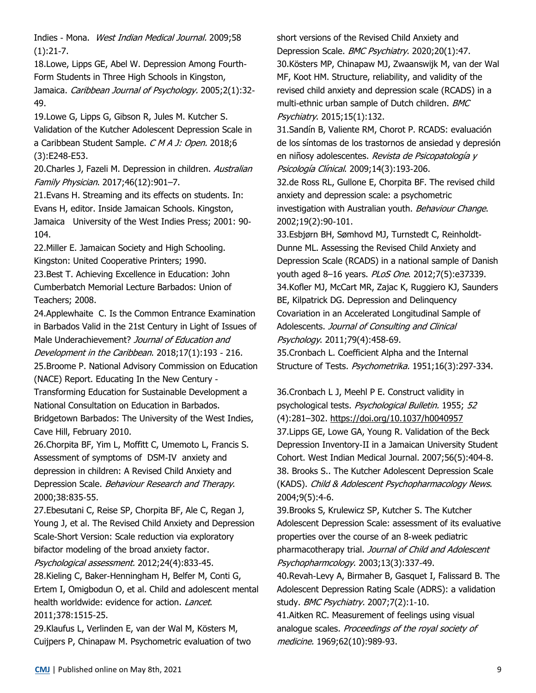Indies - Mona. West Indian Medical Journal. 2009;58  $(1):21-7.$ 

18.Lowe, Lipps GE, Abel W. Depression Among Fourth-Form Students in Three High Schools in Kingston, Jamaica. Caribbean Journal of Psychology. 2005;2(1):32-49.

19.Lowe G, Lipps G, Gibson R, Jules M. Kutcher S. Validation of the Kutcher Adolescent Depression Scale in a Caribbean Student Sample. C M A J: Open. 2018;6 (3):E248-E53.

20.Charles J, Fazeli M. Depression in children. Australian Family Physician. 2017;46(12):901–7.

21.Evans H. Streaming and its effects on students. In: Evans H, editor. Inside Jamaican Schools. Kingston, Jamaica University of the West Indies Press; 2001: 90- 104.

22.Miller E. Jamaican Society and High Schooling. Kingston: United Cooperative Printers; 1990.

23.Best T. Achieving Excellence in Education: John Cumberbatch Memorial Lecture Barbados: Union of Teachers; 2008.

24.Applewhaite C. Is the Common Entrance Examination in Barbados Valid in the 21st Century in Light of Issues of Male Underachievement? Journal of Education and Development in the Caribbean. 2018;17(1):193 - 216.

25.Broome P. National Advisory Commission on Education (NACE) Report. Educating In the New Century -

Transforming Education for Sustainable Development a National Consultation on Education in Barbados. Bridgetown Barbados: The University of the West Indies, Cave Hill, February 2010.

26.Chorpita BF, Yim L, Moffitt C, Umemoto L, Francis S. Assessment of symptoms of DSM-IV anxiety and depression in children: A Revised Child Anxiety and Depression Scale. Behaviour Research and Therapy. 2000;38:835-55.

27.Ebesutani C, Reise SP, Chorpita BF, Ale C, Regan J, Young J, et al. The Revised Child Anxiety and Depression Scale-Short Version: Scale reduction via exploratory bifactor modeling of the broad anxiety factor.

Psychological assessment. 2012;24(4):833-45.

28.Kieling C, Baker-Henningham H, Belfer M, Conti G, Ertem I, Omigbodun O, et al. Child and adolescent mental health worldwide: evidence for action. Lancet. 2011;378:1515-25.

29.Klaufus L, Verlinden E, van der Wal M, Kösters M, Cuijpers P, Chinapaw M. Psychometric evaluation of two short versions of the Revised Child Anxiety and Depression Scale. BMC Psychiatry. 2020;20(1):47. 30.Kösters MP, Chinapaw MJ, Zwaanswijk M, van der Wal MF, Koot HM. Structure, reliability, and validity of the revised child anxiety and depression scale (RCADS) in a multi-ethnic urban sample of Dutch children. BMC Psychiatry. 2015;15(1):132.

31.Sandín B, Valiente RM, Chorot P. RCADS: evaluación de los síntomas de los trastornos de ansiedad y depresión en niñosy adolescentes. Revista de Psicopatología y Psicología Clínical. 2009;14(3):193-206.

32.de Ross RL, Gullone E, Chorpita BF. The revised child anxiety and depression scale: a psychometric investigation with Australian youth. Behaviour Change. 2002;19(2):90-101.

33.Esbjørn BH, Sømhovd MJ, Turnstedt C, Reinholdt-Dunne ML. Assessing the Revised Child Anxiety and Depression Scale (RCADS) in a national sample of Danish youth aged 8-16 years. PLoS One. 2012;7(5):e37339. 34.Kofler MJ, McCart MR, Zajac K, Ruggiero KJ, Saunders BE, Kilpatrick DG. Depression and Delinquency Covariation in an Accelerated Longitudinal Sample of Adolescents. Journal of Consulting and Clinical Psychology. 2011;79(4):458-69.

35.Cronbach L. Coefficient Alpha and the Internal Structure of Tests. Psychometrika. 1951;16(3):297-334.

36.Cronbach L J, Meehl P E. Construct validity in psychological tests. Psychological Bulletin. 1955; 52 (4):281–302. [https://doi.org/10.1037/h0040957](https://psycnet.apa.org/doi/10.1037/h0040957) 37.Lipps GE, Lowe GA, Young R. Validation of the Beck Depression Inventory-II in a Jamaican University Student Cohort. West Indian Medical Journal. 2007;56(5):404-8. 38. Brooks S.. The Kutcher Adolescent Depression Scale (KADS). Child & Adolescent Psychopharmacology News. 2004;9(5):4-6.

39.Brooks S, Krulewicz SP, Kutcher S. The Kutcher Adolescent Depression Scale: assessment of its evaluative properties over the course of an 8-week pediatric pharmacotherapy trial. Journal of Child and Adolescent Psychopharmcology. 2003;13(3):337-49.

40.Revah-Levy A, Birmaher B, Gasquet I, Falissard B. The Adolescent Depression Rating Scale (ADRS): a validation study. BMC Psychiatry. 2007;7(2):1-10.

41.Aitken RC. Measurement of feelings using visual analogue scales. Proceedings of the royal society of medicine. 1969;62(10):989-93.